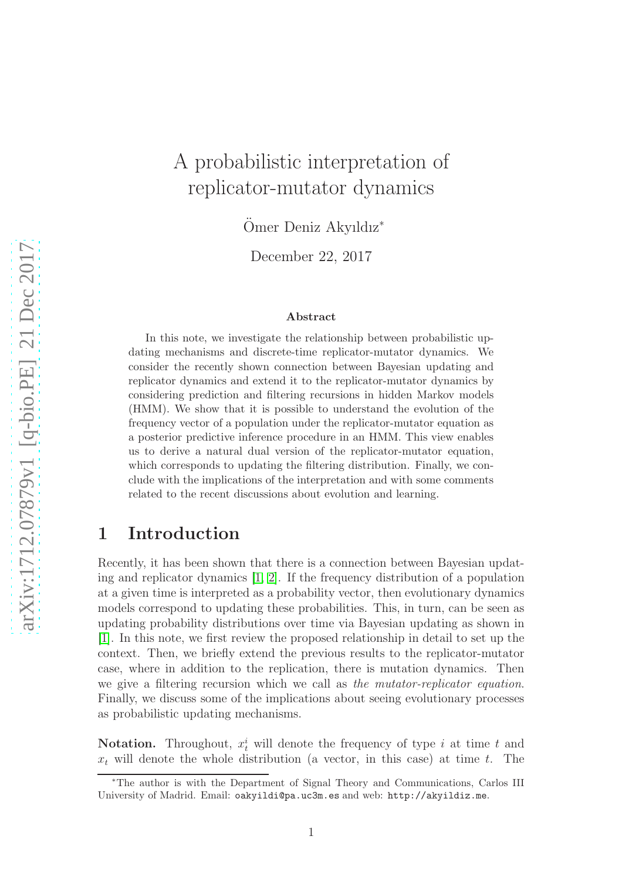# A probabilistic interpretation of replicator-mutator dynamics

Ömer Deniz Akyıldız<sup>\*</sup>

December 22, 2017

#### Abstract

In this note, we investigate the relationship between probabilistic updating mechanisms and discrete-time replicator-mutator dynamics. We consider the recently shown connection between Bayesian updating and replicator dynamics and extend it to the replicator-mutator dynamics by considering prediction and filtering recursions in hidden Markov models (HMM). We show that it is possible to understand the evolution of the frequency vector of a population under the replicator-mutator equation as a posterior predictive inference procedure in an HMM. This view enables us to derive a natural dual version of the replicator-mutator equation, which corresponds to updating the filtering distribution. Finally, we conclude with the implications of the interpretation and with some comments related to the recent discussions about evolution and learning.

## 1 Introduction

Recently, it has been shown that there is a connection between Bayesian updating and replicator dynamics  $[1, 2]$  $[1, 2]$ . If the frequency distribution of a population at a given time is interpreted as a probability vector, then evolutionary dynamics models correspond to updating these probabilities. This, in turn, can be seen as updating probability distributions over time via Bayesian updating as shown in [\[1\]](#page-5-0). In this note, we first review the proposed relationship in detail to set up the context. Then, we briefly extend the previous results to the replicator-mutator case, where in addition to the replication, there is mutation dynamics. Then we give a filtering recursion which we call as *the mutator-replicator equation*. Finally, we discuss some of the implications about seeing evolutionary processes as probabilistic updating mechanisms.

**Notation.** Throughout,  $x_t^i$  will denote the frequency of type i at time t and  $x_t$  will denote the whole distribution (a vector, in this case) at time t. The

<sup>∗</sup>The author is with the Department of Signal Theory and Communications, Carlos III University of Madrid. Email: oakyildi@pa.uc3m.es and web: http://akyildiz.me.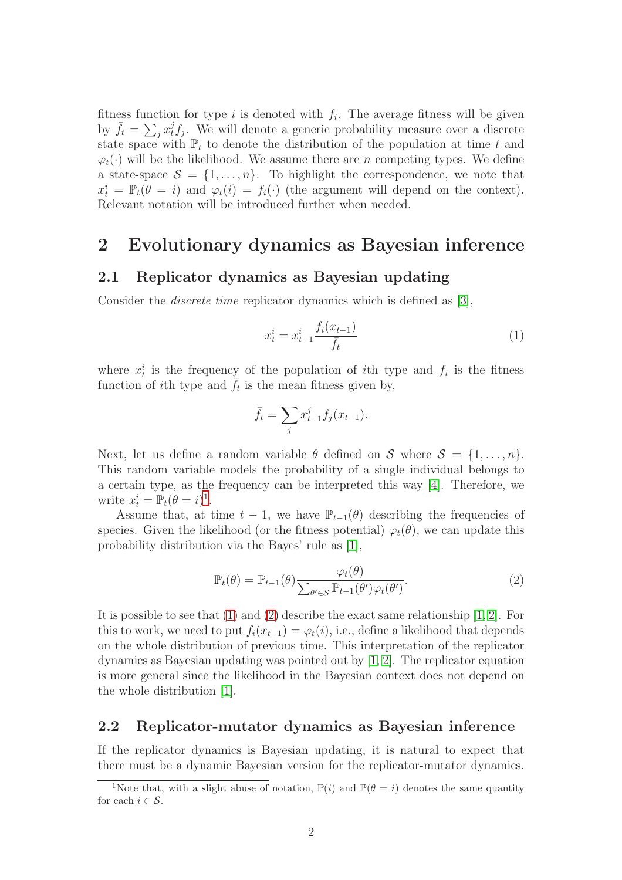fitness function for type i is denoted with  $f_i$ . The average fitness will be given by  $\bar{f}_t = \sum_j x_t^j f_j$ . We will denote a generic probability measure over a discrete state space with  $\mathbb{P}_t$  to denote the distribution of the population at time t and  $\varphi_t(\cdot)$  will be the likelihood. We assume there are n competing types. We define a state-space  $S = \{1, \ldots, n\}$ . To highlight the correspondence, we note that  $x_t^i = \mathbb{P}_t(\theta = i)$  and  $\varphi_t(i) = f_i(\cdot)$  (the argument will depend on the context). Relevant notation will be introduced further when needed.

### 2 Evolutionary dynamics as Bayesian inference

### 2.1 Replicator dynamics as Bayesian updating

Consider the *discrete time* replicator dynamics which is defined as [\[3\]](#page-5-2),

<span id="page-1-1"></span>
$$
x_t^i = x_{t-1}^i \frac{f_i(x_{t-1})}{\bar{f}_t} \tag{1}
$$

where  $x_t^i$  is the frequency of the population of *i*th type and  $f_i$  is the fitness function of *i*th type and  $\bar{f}_t$  is the mean fitness given by,

$$
\bar{f}_t = \sum_j x_{t-1}^j f_j(x_{t-1}).
$$

Next, let us define a random variable  $\theta$  defined on S where  $S = \{1, \ldots, n\}$ . This random variable models the probability of a single individual belongs to a certain type, as the frequency can be interpreted this way [\[4\]](#page-5-3). Therefore, we write  $x_t^i = \mathbb{P}_t(\theta = i)^1$  $x_t^i = \mathbb{P}_t(\theta = i)^1$ .

Assume that, at time  $t - 1$ , we have  $\mathbb{P}_{t-1}(\theta)$  describing the frequencies of species. Given the likelihood (or the fitness potential)  $\varphi_t(\theta)$ , we can update this probability distribution via the Bayes' rule as [\[1\]](#page-5-0),

<span id="page-1-2"></span>
$$
\mathbb{P}_t(\theta) = \mathbb{P}_{t-1}(\theta) \frac{\varphi_t(\theta)}{\sum_{\theta' \in \mathcal{S}} \mathbb{P}_{t-1}(\theta') \varphi_t(\theta')}.
$$
\n(2)

It is possible to see that [\(1\)](#page-1-1) and [\(2\)](#page-1-2) describe the exact same relationship [\[1,](#page-5-0) [2\]](#page-5-1). For this to work, we need to put  $f_i(x_{t-1}) = \varphi_t(i)$ , i.e., define a likelihood that depends on the whole distribution of previous time. This interpretation of the replicator dynamics as Bayesian updating was pointed out by [\[1,](#page-5-0) [2\]](#page-5-1). The replicator equation is more general since the likelihood in the Bayesian context does not depend on the whole distribution [\[1\]](#page-5-0).

### 2.2 Replicator-mutator dynamics as Bayesian inference

If the replicator dynamics is Bayesian updating, it is natural to expect that there must be a dynamic Bayesian version for the replicator-mutator dynamics.

<span id="page-1-0"></span><sup>&</sup>lt;sup>1</sup>Note that, with a slight abuse of notation,  $\mathbb{P}(i)$  and  $\mathbb{P}(\theta = i)$  denotes the same quantity for each  $i \in \mathcal{S}$ .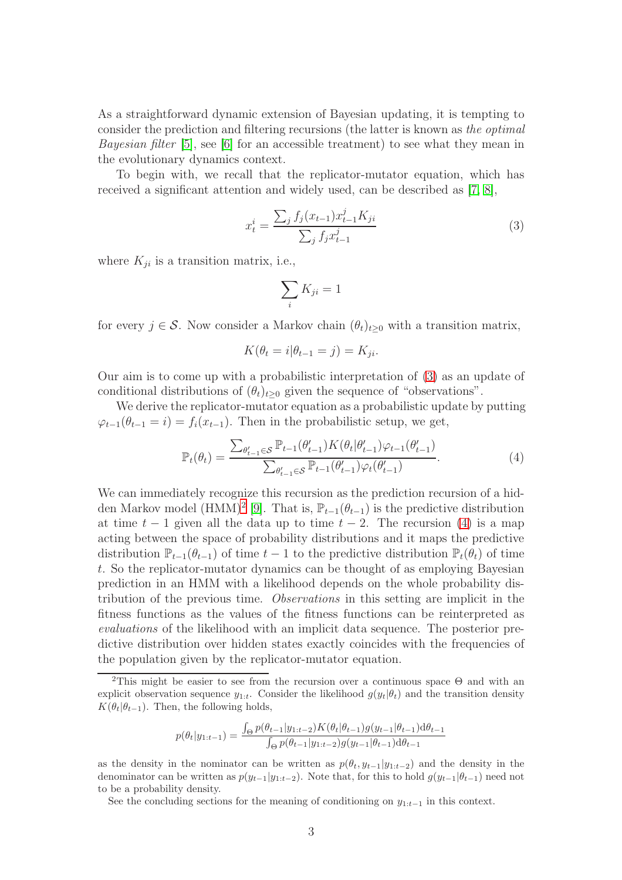As a straightforward dynamic extension of Bayesian updating, it is tempting to consider the prediction and filtering recursions (the latter is known as *the optimal Bayesian filter* [\[5\]](#page-5-4), see [\[6\]](#page-5-5) for an accessible treatment) to see what they mean in the evolutionary dynamics context.

To begin with, we recall that the replicator-mutator equation, which has received a significant attention and widely used, can be described as [\[7,](#page-5-6) [8\]](#page-5-7),

$$
x_t^i = \frac{\sum_j f_j(x_{t-1}) x_{t-1}^j K_{ji}}{\sum_j f_j x_{t-1}^j}
$$
\n(3)

where  $K_{ji}$  is a transition matrix, i.e.,

<span id="page-2-2"></span><span id="page-2-0"></span>
$$
\sum_i K_{ji} = 1
$$

for every  $j \in \mathcal{S}$ . Now consider a Markov chain  $(\theta_t)_{t>0}$  with a transition matrix,

$$
K(\theta_t = i | \theta_{t-1} = j) = K_{ji}.
$$

Our aim is to come up with a probabilistic interpretation of [\(3\)](#page-2-0) as an update of conditional distributions of  $(\theta_t)_{t\geq 0}$  given the sequence of "observations".

We derive the replicator-mutator equation as a probabilistic update by putting  $\varphi_{t-1}(\theta_{t-1} = i) = f_i(x_{t-1})$ . Then in the probabilistic setup, we get,

$$
\mathbb{P}_{t}(\theta_{t}) = \frac{\sum_{\theta'_{t-1} \in \mathcal{S}} \mathbb{P}_{t-1}(\theta'_{t-1}) K(\theta_{t} | \theta'_{t-1}) \varphi_{t-1}(\theta'_{t-1})}{\sum_{\theta'_{t-1} \in \mathcal{S}} \mathbb{P}_{t-1}(\theta'_{t-1}) \varphi_{t}(\theta'_{t-1})}.
$$
\n(4)

We can immediately recognize this recursion as the prediction recursion of a hid-den Markov model (HMM)<sup>[2](#page-2-1)</sup> [\[9\]](#page-5-8). That is,  $\mathbb{P}_{t-1}(\theta_{t-1})$  is the predictive distribution at time  $t - 1$  given all the data up to time  $t - 2$ . The recursion [\(4\)](#page-2-2) is a map acting between the space of probability distributions and it maps the predictive distribution  $\mathbb{P}_{t-1}(\theta_{t-1})$  of time  $t-1$  to the predictive distribution  $\mathbb{P}_t(\theta_t)$  of time t. So the replicator-mutator dynamics can be thought of as employing Bayesian prediction in an HMM with a likelihood depends on the whole probability distribution of the previous time. *Observations* in this setting are implicit in the fitness functions as the values of the fitness functions can be reinterpreted as *evaluations* of the likelihood with an implicit data sequence. The posterior predictive distribution over hidden states exactly coincides with the frequencies of the population given by the replicator-mutator equation.

$$
p(\theta_t|y_{1:t-1}) = \frac{\int_{\Theta} p(\theta_{t-1}|y_{1:t-2}) K(\theta_t|\theta_{t-1}) g(y_{t-1}|\theta_{t-1}) d\theta_{t-1}}{\int_{\Theta} p(\theta_{t-1}|y_{1:t-2}) g(y_{t-1}|\theta_{t-1}) d\theta_{t-1}}
$$

as the density in the nominator can be written as  $p(\theta_t, y_{t-1}|y_{1:t-2})$  and the density in the denominator can be written as  $p(y_{t-1}|y_{1:t-2})$ . Note that, for this to hold  $g(y_{t-1}|\theta_{t-1})$  need not to be a probability density.

See the concluding sections for the meaning of conditioning on  $y_{1:t-1}$  in this context.

<span id="page-2-1"></span><sup>&</sup>lt;sup>2</sup>This might be easier to see from the recursion over a continuous space  $\Theta$  and with an explicit observation sequence  $y_{1:t}$ . Consider the likelihood  $g(y_t|\theta_t)$  and the transition density  $K(\theta_t|\theta_{t-1})$ . Then, the following holds,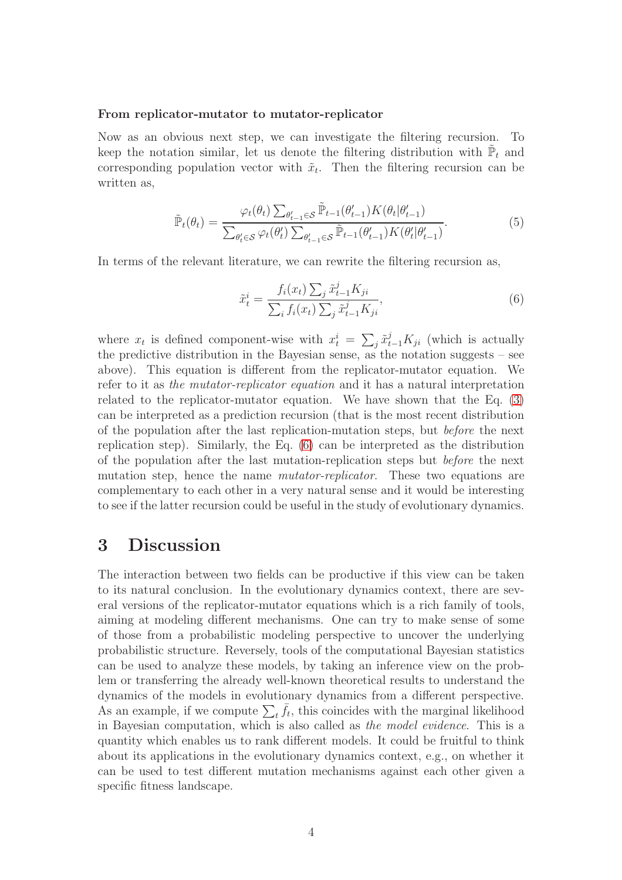#### From replicator-mutator to mutator-replicator

Now as an obvious next step, we can investigate the filtering recursion. To keep the notation similar, let us denote the filtering distribution with  $\tilde{P}_t$  and corresponding population vector with  $\tilde{x}_t$ . Then the filtering recursion can be written as,

$$
\tilde{\mathbb{P}}_t(\theta_t) = \frac{\varphi_t(\theta_t) \sum_{\theta'_{t-1} \in \mathcal{S}} \tilde{\mathbb{P}}_{t-1}(\theta'_{t-1}) K(\theta_t | \theta'_{t-1})}{\sum_{\theta'_t \in \mathcal{S}} \varphi_t(\theta'_t) \sum_{\theta'_{t-1} \in \mathcal{S}} \tilde{\mathbb{P}}_{t-1}(\theta'_{t-1}) K(\theta'_t | \theta'_{t-1})}.
$$
\n(5)

In terms of the relevant literature, we can rewrite the filtering recursion as,

<span id="page-3-0"></span>
$$
\tilde{x}_t^i = \frac{f_i(x_t) \sum_j \tilde{x}_{t-1}^j K_{ji}}{\sum_i f_i(x_t) \sum_j \tilde{x}_{t-1}^j K_{ji}},\tag{6}
$$

where  $x_t$  is defined component-wise with  $x_t^i = \sum_j \tilde{x}_{t-1}^j K_{ji}$  (which is actually the predictive distribution in the Bayesian sense, as the notation suggests – see above). This equation is different from the replicator-mutator equation. We refer to it as *the mutator-replicator equation* and it has a natural interpretation related to the replicator-mutator equation. We have shown that the Eq. [\(3\)](#page-2-0) can be interpreted as a prediction recursion (that is the most recent distribution of the population after the last replication-mutation steps, but *before* the next replication step). Similarly, the Eq. [\(6\)](#page-3-0) can be interpreted as the distribution of the population after the last mutation-replication steps but *before* the next mutation step, hence the name *mutator-replicator*. These two equations are complementary to each other in a very natural sense and it would be interesting to see if the latter recursion could be useful in the study of evolutionary dynamics.

### 3 Discussion

The interaction between two fields can be productive if this view can be taken to its natural conclusion. In the evolutionary dynamics context, there are several versions of the replicator-mutator equations which is a rich family of tools, aiming at modeling different mechanisms. One can try to make sense of some of those from a probabilistic modeling perspective to uncover the underlying probabilistic structure. Reversely, tools of the computational Bayesian statistics can be used to analyze these models, by taking an inference view on the problem or transferring the already well-known theoretical results to understand the dynamics of the models in evolutionary dynamics from a different perspective. As an example, if we compute  $\sum_{t} \bar{f}_{t}$ , this coincides with the marginal likelihood in Bayesian computation, which is also called as *the model evidence*. This is a quantity which enables us to rank different models. It could be fruitful to think about its applications in the evolutionary dynamics context, e.g., on whether it can be used to test different mutation mechanisms against each other given a specific fitness landscape.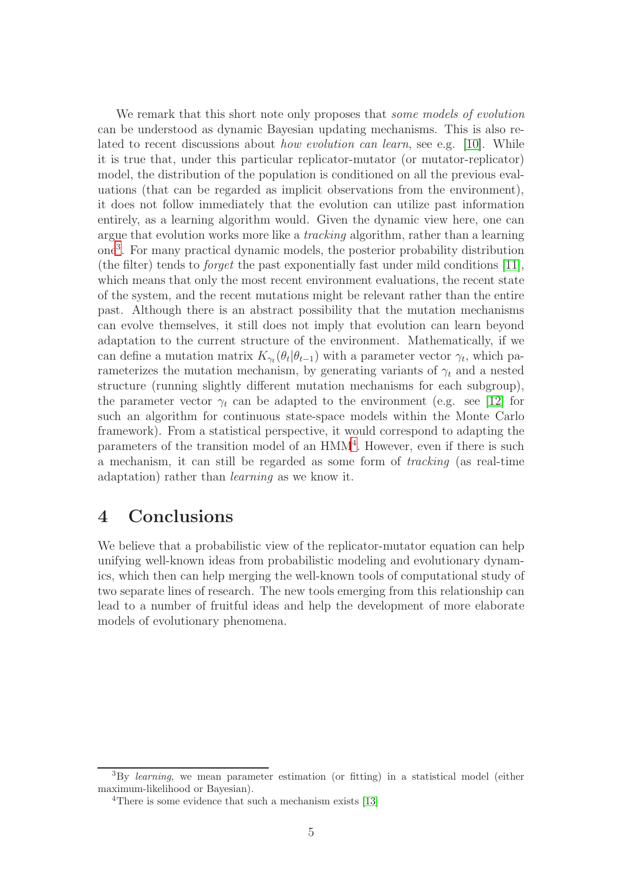We remark that this short note only proposes that *some models of evolution* can be understood as dynamic Bayesian updating mechanisms. This is also related to recent discussions about *how evolution can learn*, see e.g. [\[10\]](#page-5-9). While it is true that, under this particular replicator-mutator (or mutator-replicator) model, the distribution of the population is conditioned on all the previous evaluations (that can be regarded as implicit observations from the environment), it does not follow immediately that the evolution can utilize past information entirely, as a learning algorithm would. Given the dynamic view here, one can argue that evolution works more like a *tracking* algorithm, rather than a learning one[3](#page-4-0) . For many practical dynamic models, the posterior probability distribution (the filter) tends to *forget* the past exponentially fast under mild conditions [\[11\]](#page-5-10), which means that only the most recent environment evaluations, the recent state of the system, and the recent mutations might be relevant rather than the entire past. Although there is an abstract possibility that the mutation mechanisms can evolve themselves, it still does not imply that evolution can learn beyond adaptation to the current structure of the environment. Mathematically, if we can define a mutation matrix  $K_{\gamma_t}(\theta_t|\theta_{t-1})$  with a parameter vector  $\gamma_t$ , which parameterizes the mutation mechanism, by generating variants of  $\gamma_t$  and a nested structure (running slightly different mutation mechanisms for each subgroup), the parameter vector  $\gamma_t$  can be adapted to the environment (e.g. see [\[12\]](#page-5-11) for such an algorithm for continuous state-space models within the Monte Carlo framework). From a statistical perspective, it would correspond to adapting the parameters of the transition model of an HMM<sup>[4](#page-4-1)</sup>. However, even if there is such a mechanism, it can still be regarded as some form of *tracking* (as real-time adaptation) rather than *learning* as we know it.

# 4 Conclusions

We believe that a probabilistic view of the replicator-mutator equation can help unifying well-known ideas from probabilistic modeling and evolutionary dynamics, which then can help merging the well-known tools of computational study of two separate lines of research. The new tools emerging from this relationship can lead to a number of fruitful ideas and help the development of more elaborate models of evolutionary phenomena.

<sup>&</sup>lt;sup>3</sup>By learning, we mean parameter estimation (or fitting) in a statistical model (either maximum-likelihood or Bayesian).

<span id="page-4-1"></span><span id="page-4-0"></span><sup>&</sup>lt;sup>4</sup>There is some evidence that such a mechanism exists [\[13\]](#page-5-12)